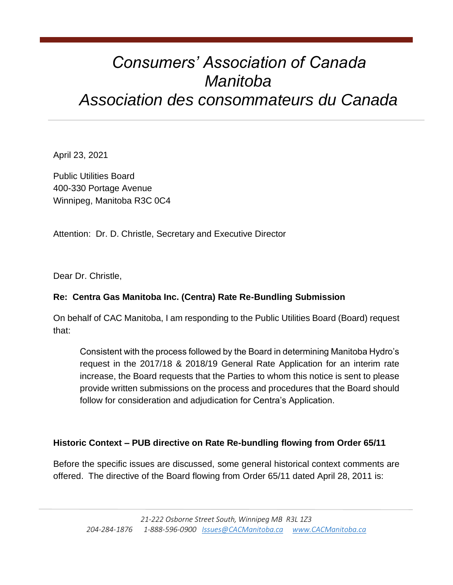# *Consumers' Association of Canada Manitoba Association des consommateurs du Canada*

April 23, 2021

Public Utilities Board 400-330 Portage Avenue Winnipeg, Manitoba R3C 0C4

Attention: Dr. D. Christle, Secretary and Executive Director

Dear Dr. Christle,

# **Re: Centra Gas Manitoba Inc. (Centra) Rate Re-Bundling Submission**

On behalf of CAC Manitoba, I am responding to the Public Utilities Board (Board) request that:

Consistent with the process followed by the Board in determining Manitoba Hydro's request in the 2017/18 & 2018/19 General Rate Application for an interim rate increase, the Board requests that the Parties to whom this notice is sent to please provide written submissions on the process and procedures that the Board should follow for consideration and adjudication for Centra's Application.

### **Historic Context – PUB directive on Rate Re-bundling flowing from Order 65/11**

Before the specific issues are discussed, some general historical context comments are offered. The directive of the Board flowing from Order 65/11 dated April 28, 2011 is: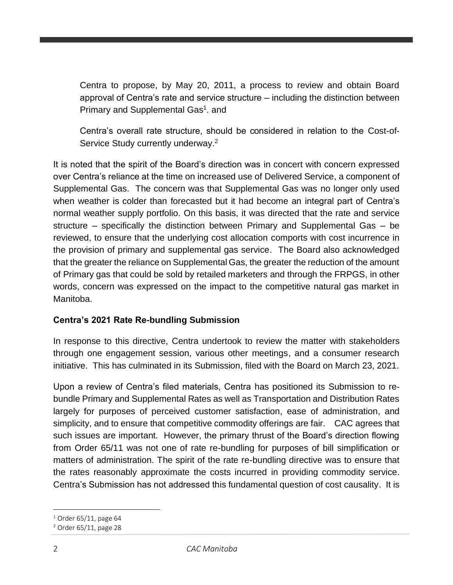Centra to propose, by May 20, 2011, a process to review and obtain Board approval of Centra's rate and service structure – including the distinction between Primary and Supplemental Gas<sup>1</sup>. and

Centra's overall rate structure, should be considered in relation to the Cost-of-Service Study currently underway.<sup>2</sup>

It is noted that the spirit of the Board's direction was in concert with concern expressed over Centra's reliance at the time on increased use of Delivered Service, a component of Supplemental Gas. The concern was that Supplemental Gas was no longer only used when weather is colder than forecasted but it had become an integral part of Centra's normal weather supply portfolio. On this basis, it was directed that the rate and service structure – specifically the distinction between Primary and Supplemental Gas – be reviewed, to ensure that the underlying cost allocation comports with cost incurrence in the provision of primary and supplemental gas service. The Board also acknowledged that the greater the reliance on Supplemental Gas, the greater the reduction of the amount of Primary gas that could be sold by retailed marketers and through the FRPGS, in other words, concern was expressed on the impact to the competitive natural gas market in Manitoba.

# **Centra's 2021 Rate Re-bundling Submission**

In response to this directive, Centra undertook to review the matter with stakeholders through one engagement session, various other meetings, and a consumer research initiative. This has culminated in its Submission, filed with the Board on March 23, 2021.

Upon a review of Centra's filed materials, Centra has positioned its Submission to rebundle Primary and Supplemental Rates as well as Transportation and Distribution Rates largely for purposes of perceived customer satisfaction, ease of administration, and simplicity, and to ensure that competitive commodity offerings are fair. CAC agrees that such issues are important. However, the primary thrust of the Board's direction flowing from Order 65/11 was not one of rate re-bundling for purposes of bill simplification or matters of administration. The spirit of the rate re-bundling directive was to ensure that the rates reasonably approximate the costs incurred in providing commodity service. Centra's Submission has not addressed this fundamental question of cost causality. It is

 $1$  Order 65/11, page 64

<sup>2</sup> Order 65/11, page 28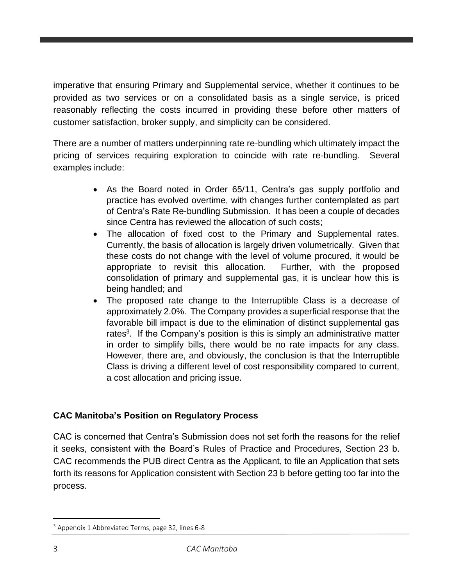imperative that ensuring Primary and Supplemental service, whether it continues to be provided as two services or on a consolidated basis as a single service, is priced reasonably reflecting the costs incurred in providing these before other matters of customer satisfaction, broker supply, and simplicity can be considered.

There are a number of matters underpinning rate re-bundling which ultimately impact the pricing of services requiring exploration to coincide with rate re-bundling. Several examples include:

- As the Board noted in Order 65/11, Centra's gas supply portfolio and practice has evolved overtime, with changes further contemplated as part of Centra's Rate Re-bundling Submission. It has been a couple of decades since Centra has reviewed the allocation of such costs;
- The allocation of fixed cost to the Primary and Supplemental rates. Currently, the basis of allocation is largely driven volumetrically. Given that these costs do not change with the level of volume procured, it would be appropriate to revisit this allocation. Further, with the proposed consolidation of primary and supplemental gas, it is unclear how this is being handled; and
- The proposed rate change to the Interruptible Class is a decrease of approximately 2.0%. The Company provides a superficial response that the favorable bill impact is due to the elimination of distinct supplemental gas rates<sup>3</sup>. If the Company's position is this is simply an administrative matter in order to simplify bills, there would be no rate impacts for any class. However, there are, and obviously, the conclusion is that the Interruptible Class is driving a different level of cost responsibility compared to current, a cost allocation and pricing issue.

# **CAC Manitoba's Position on Regulatory Process**

CAC is concerned that Centra's Submission does not set forth the reasons for the relief it seeks, consistent with the Board's Rules of Practice and Procedures, Section 23 b. CAC recommends the PUB direct Centra as the Applicant, to file an Application that sets forth its reasons for Application consistent with Section 23 b before getting too far into the process.

<sup>&</sup>lt;sup>3</sup> Appendix 1 Abbreviated Terms, page 32, lines 6-8